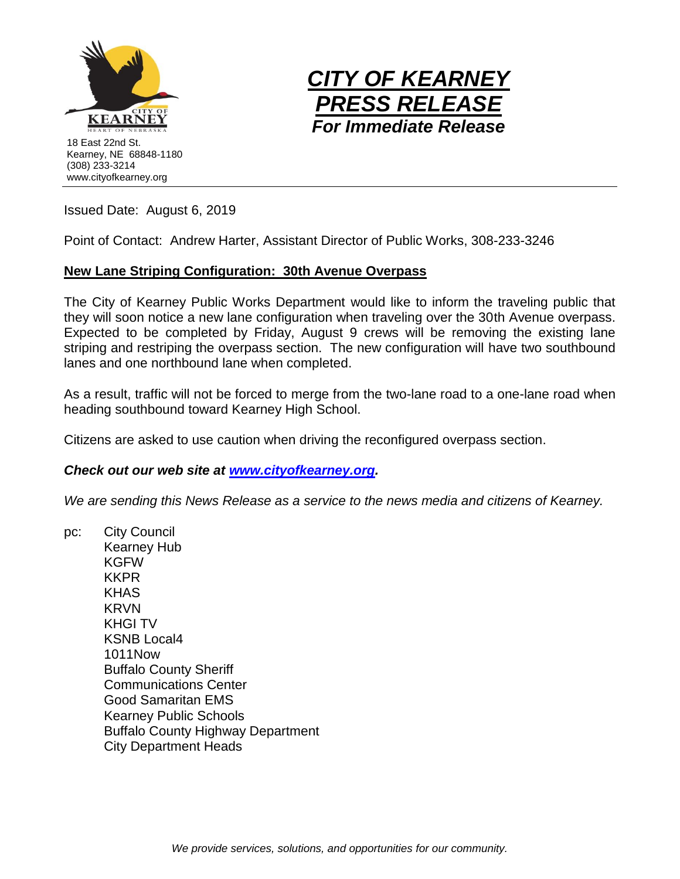



Issued Date: August 6, 2019

Point of Contact: Andrew Harter, Assistant Director of Public Works, 308-233-3246

## **New Lane Striping Configuration: 30th Avenue Overpass**

The City of Kearney Public Works Department would like to inform the traveling public that they will soon notice a new lane configuration when traveling over the 30th Avenue overpass. Expected to be completed by Friday, August 9 crews will be removing the existing lane striping and restriping the overpass section. The new configuration will have two southbound lanes and one northbound lane when completed.

As a result, traffic will not be forced to merge from the two-lane road to a one-lane road when heading southbound toward Kearney High School.

Citizens are asked to use caution when driving the reconfigured overpass section.

## *Check out our web site at [www.cityofkearney.org.](http://www.cityofkearney.org/)*

*We are sending this News Release as a service to the news media and citizens of Kearney.*

pc: City Council Kearney Hub KGFW KKPR KHAS KRVN KHGI TV KSNB Local4 1011Now Buffalo County Sheriff Communications Center Good Samaritan EMS Kearney Public Schools Buffalo County Highway Department City Department Heads